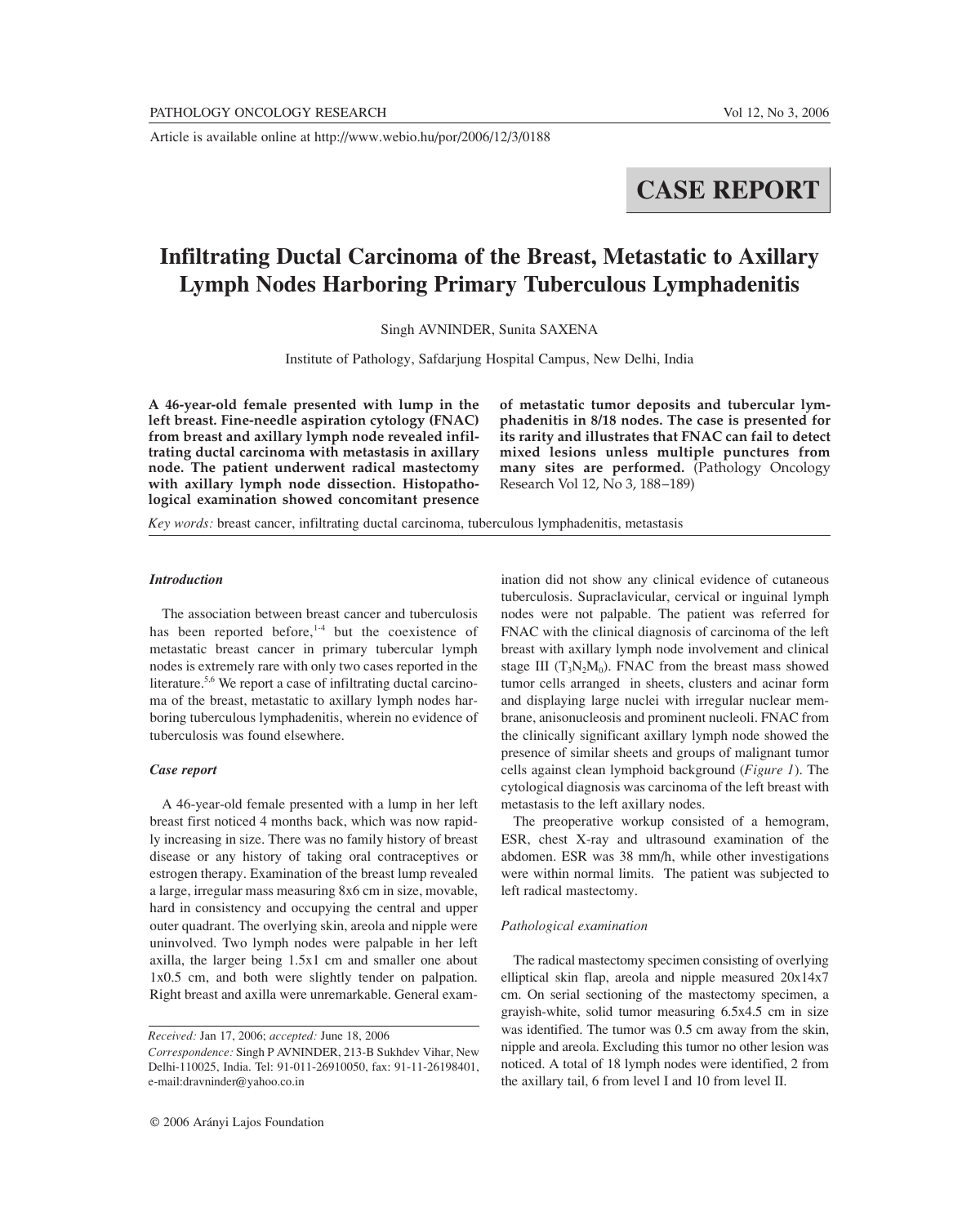Article is available online at http://www.webio.hu/por/2006/12/3/0188

# **CASE REPORT**

# **Infiltrating Ductal Carcinoma of the Breast, Metastatic to Axillary Lymph Nodes Harboring Primary Tuberculous Lymphadenitis**

Singh AVNINDER, Sunita SAXENA

Institute of Pathology, Safdarjung Hospital Campus, New Delhi, India

**A 46-year-old female presented with lump in the left breast. Fine-needle aspiration cytology (FNAC) from breast and axillary lymph node revealed infiltrating ductal carcinoma with metastasis in axillary node. The patient underwent radical mastectomy with axillary lymph node dissection. Histopathological examination showed concomitant presence**

**of metastatic tumor deposits and tubercular lymphadenitis in 8/18 nodes. The case is presented for its rarity and illustrates that FNAC can fail to detect mixed lesions unless multiple punctures from many sites are performed.** (Pathology Oncology Research Vol 12, No 3, 188–189)

*Key words:* breast cancer, infiltrating ductal carcinoma, tuberculous lymphadenitis, metastasis

## *Introduction*

The association between breast cancer and tuberculosis has been reported before, $1-4$  but the coexistence of metastatic breast cancer in primary tubercular lymph nodes is extremely rare with only two cases reported in the literature.<sup>5,6</sup> We report a case of infiltrating ductal carcinoma of the breast, metastatic to axillary lymph nodes harboring tuberculous lymphadenitis, wherein no evidence of tuberculosis was found elsewhere.

## *Case report*

A 46-year-old female presented with a lump in her left breast first noticed 4 months back, which was now rapidly increasing in size. There was no family history of breast disease or any history of taking oral contraceptives or estrogen therapy. Examination of the breast lump revealed a large, irregular mass measuring 8x6 cm in size, movable, hard in consistency and occupying the central and upper outer quadrant. The overlying skin, areola and nipple were uninvolved. Two lymph nodes were palpable in her left axilla, the larger being 1.5x1 cm and smaller one about 1x0.5 cm, and both were slightly tender on palpation. Right breast and axilla were unremarkable. General examination did not show any clinical evidence of cutaneous tuberculosis. Supraclavicular, cervical or inguinal lymph nodes were not palpable. The patient was referred for FNAC with the clinical diagnosis of carcinoma of the left breast with axillary lymph node involvement and clinical stage III  $(T_3N_2M_0)$ . FNAC from the breast mass showed tumor cells arranged in sheets, clusters and acinar form and displaying large nuclei with irregular nuclear membrane, anisonucleosis and prominent nucleoli. FNAC from the clinically significant axillary lymph node showed the presence of similar sheets and groups of malignant tumor cells against clean lymphoid background (*Figure 1*). The cytological diagnosis was carcinoma of the left breast with metastasis to the left axillary nodes.

The preoperative workup consisted of a hemogram, ESR, chest X-ray and ultrasound examination of the abdomen. ESR was 38 mm/h, while other investigations were within normal limits. The patient was subjected to left radical mastectomy.

#### *Pathological examination*

The radical mastectomy specimen consisting of overlying elliptical skin flap, areola and nipple measured 20x14x7 cm. On serial sectioning of the mastectomy specimen, a grayish-white, solid tumor measuring 6.5x4.5 cm in size was identified. The tumor was 0.5 cm away from the skin, nipple and areola. Excluding this tumor no other lesion was noticed. A total of 18 lymph nodes were identified, 2 from the axillary tail, 6 from level I and 10 from level II.

*Received:* Jan 17, 2006; *accepted:* June 18, 2006 *Correspondence:* Singh P AVNINDER, 213-B Sukhdev Vihar, New Delhi-110025, India. Tel: 91-011-26910050, fax: 91-11-26198401, e-mail:dravninder@yahoo.co.in